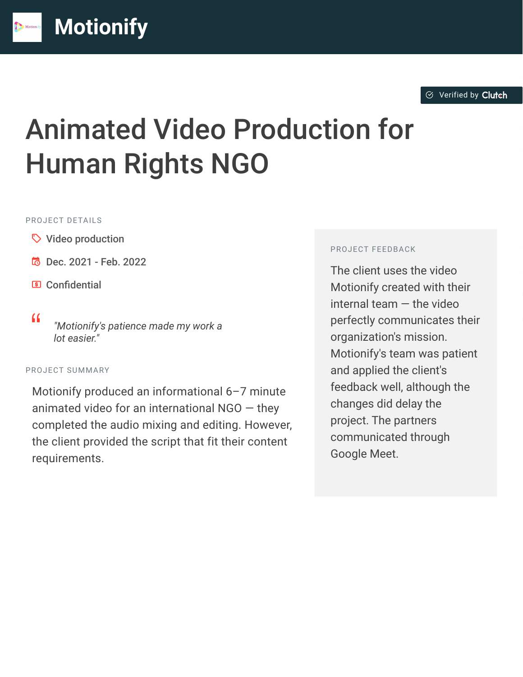# Animated Video Production for Human Rights NGO

#### PROJECT DETAILS

- $\heartsuit$  Video production
- $\overline{6}$  Dec. 2021 Feb. 2022

**[M](https://clutch.co/profile/motionify?utm_source=case_studies&utm_medium=logo)otionify**

- **El** Confidential
- <sup>D</sup> *"Motionify's patience made my work a lot easier."*

#### PROJECT SUMMARY

Motionify produced an informational 6–7 minute animated video for an international  $NGO -$  they completed the audio mixing and editing. However, the client provided the script that fit their content requirements.

#### PROJECT FEEDBACK

The client uses the video Motionify created with their internal team — the video perfectly communicates their organization's mission. Motionify's team was patient and applied the client's feedback well, although the changes did delay the project. The partners communicated through Google Meet.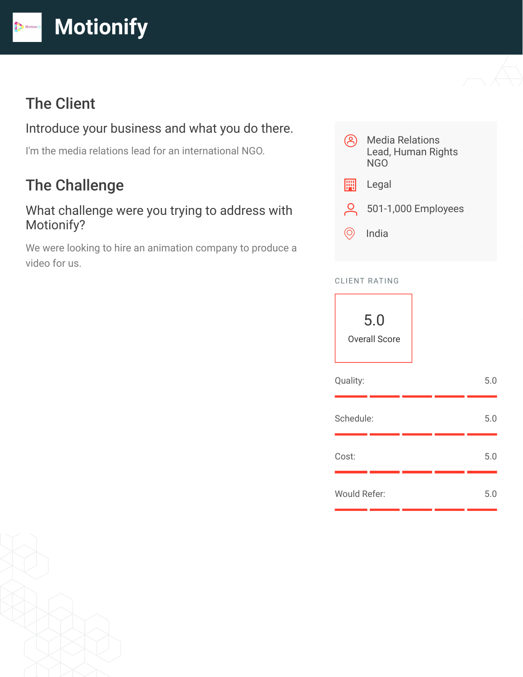

## The Client

## Introduce your business and what you do there.

I'm the media relations lead for an international NGO.

# The Challenge

#### What challenge were you trying to address with Motionify?

We were looking to hire an animation company to produce a video for us.



#### CLIENT RATING

| 5.0<br><b>Overall Score</b> |  |     |
|-----------------------------|--|-----|
| Quality:                    |  | 5.0 |
| Schedule:                   |  | 5.0 |
| Cost:                       |  | 5.0 |
| <b>Would Refer:</b>         |  | 5.0 |

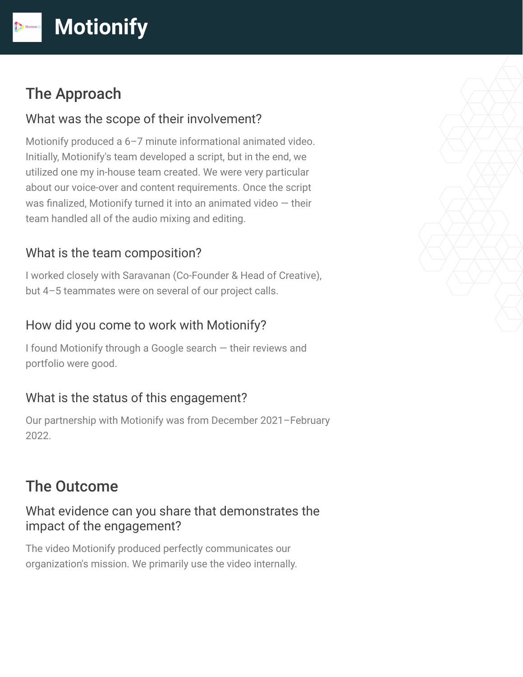# The Approach

#### What was the scope of their involvement?

Motionify produced a 6–7 minute informational animated video. Initially, Motionify's team developed a script, but in the end, we utilized one my in-house team created. We were very particular about our voice-over and content requirements. Once the script was finalized, Motionify turned it into an animated video — their team handled all of the audio mixing and editing.

## What is the team composition?

I worked closely with Saravanan (Co-Founder & Head of Creative), but 4–5 teammates were on several of our project calls.

## How did you come to work with Motionify?

I found Motionify through a Google search — their reviews and portfolio were good.

## What is the status of this engagement?

Our partnership with Motionify was from December 2021–February 2022.

# The Outcome

#### What evidence can you share that demonstrates the impact of the engagement?

The video Motionify produced perfectly communicates our organization's mission. We primarily use the video internally.